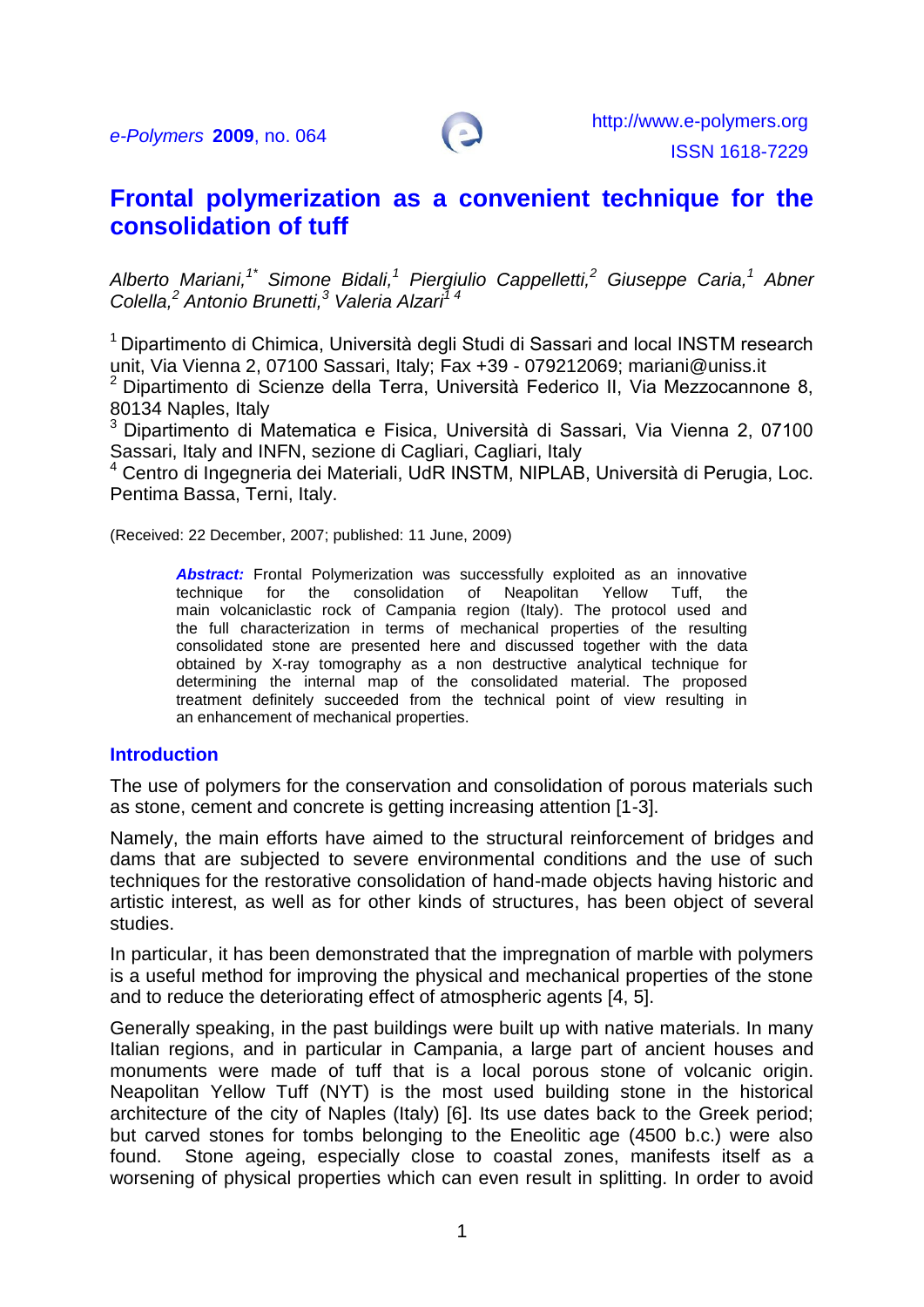

# **Frontal polymerization as a convenient technique for the consolidation of tuff**

*Alberto Mariani, 1\* Simone Bidali, <sup>1</sup> Piergiulio Cappelletti, <sup>2</sup> Giuseppe Caria, <sup>1</sup> Abner Colella, <sup>2</sup> Antonio Brunetti, <sup>3</sup> Valeria Alzari<sup>1</sup> <sup>4</sup>*

 $1$  Dipartimento di Chimica, Università degli Studi di Sassari and local INSTM research unit, Via Vienna 2, 07100 Sassari, Italy; Fax +39 - 079212069; mariani@uniss.it  $2$  Dipartimento di Scienze della Terra, Università Federico II, Via Mezzocannone 8, 80134 Naples, Italy

<sup>3</sup> Dipartimento di Matematica e Fisica, Università di Sassari, Via Vienna 2, 07100 Sassari, Italy and INFN, sezione di Cagliari, Cagliari, Italy

<sup>4</sup> Centro di Ingegneria dei Materiali, UdR INSTM, NIPLAB, Università di Perugia, Loc. Pentima Bassa, Terni, Italy.

(Received: 22 December, 2007; published: 11 June, 2009)

*Abstract:* Frontal Polymerization was successfully exploited as an innovative technique for the consolidation of Neapolitan Yellow Tuff, the main volcaniclastic rock of Campania region (Italy). The protocol used and the full characterization in terms of mechanical properties of the resulting consolidated stone are presented here and discussed together with the data obtained by X-ray tomography as a non destructive analytical technique for determining the internal map of the consolidated material. The proposed treatment definitely succeeded from the technical point of view resulting in an enhancement of mechanical properties.

#### **Introduction**

The use of polymers for the conservation and consolidation of porous materials such as stone, cement and concrete is getting increasing attention [1-3].

Namely, the main efforts have aimed to the structural reinforcement of bridges and dams that are subjected to severe environmental conditions and the use of such techniques for the restorative consolidation of hand-made objects having historic and artistic interest, as well as for other kinds of structures, has been object of several studies.

In particular, it has been demonstrated that the impregnation of marble with polymers is a useful method for improving the physical and mechanical properties of the stone and to reduce the deteriorating effect of atmospheric agents [4, 5].

Generally speaking, in the past buildings were built up with native materials. In many Italian regions, and in particular in Campania, a large part of ancient houses and monuments were made of tuff that is a local porous stone of volcanic origin. Neapolitan Yellow Tuff (NYT) is the most used building stone in the historical architecture of the city of Naples (Italy) [6]. Its use dates back to the Greek period; but carved stones for tombs belonging to the Eneolitic age (4500 b.c.) were also found. Stone ageing, especially close to coastal zones, manifests itself as a worsening of physical properties which can even result in splitting. In order to avoid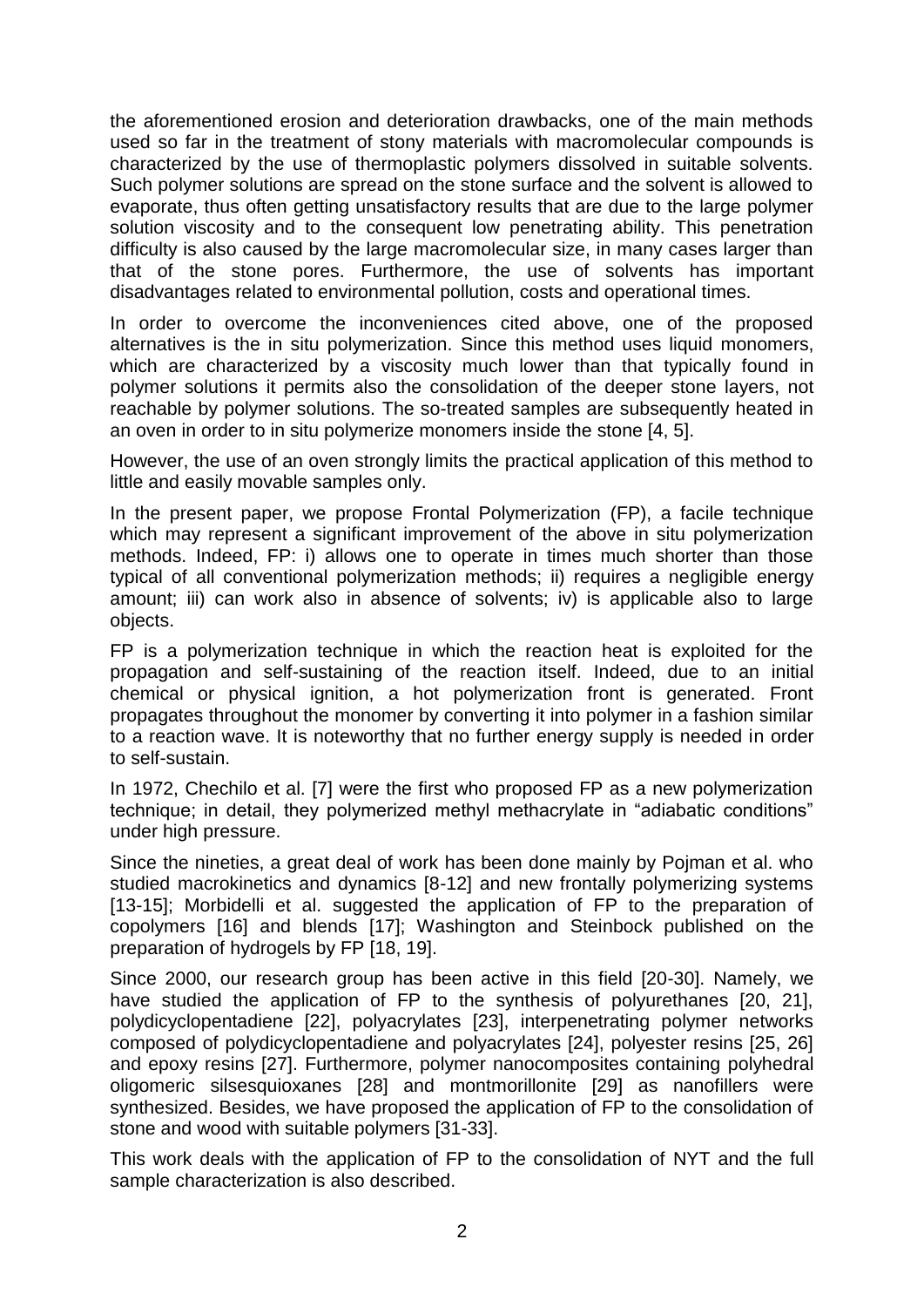the aforementioned erosion and deterioration drawbacks, one of the main methods used so far in the treatment of stony materials with macromolecular compounds is characterized by the use of thermoplastic polymers dissolved in suitable solvents. Such polymer solutions are spread on the stone surface and the solvent is allowed to evaporate, thus often getting unsatisfactory results that are due to the large polymer solution viscosity and to the consequent low penetrating ability. This penetration difficulty is also caused by the large macromolecular size, in many cases larger than that of the stone pores. Furthermore, the use of solvents has important disadvantages related to environmental pollution, costs and operational times.

In order to overcome the inconveniences cited above, one of the proposed alternatives is the in situ polymerization. Since this method uses liquid monomers, which are characterized by a viscosity much lower than that typically found in polymer solutions it permits also the consolidation of the deeper stone layers, not reachable by polymer solutions. The so-treated samples are subsequently heated in an oven in order to in situ polymerize monomers inside the stone [4, 5].

However, the use of an oven strongly limits the practical application of this method to little and easily movable samples only.

In the present paper, we propose Frontal Polymerization (FP), a facile technique which may represent a significant improvement of the above in situ polymerization methods. Indeed, FP: i) allows one to operate in times much shorter than those typical of all conventional polymerization methods; ii) requires a negligible energy amount; iii) can work also in absence of solvents; iv) is applicable also to large objects.

FP is a polymerization technique in which the reaction heat is exploited for the propagation and self-sustaining of the reaction itself. Indeed, due to an initial chemical or physical ignition, a hot polymerization front is generated. Front propagates throughout the monomer by converting it into polymer in a fashion similar to a reaction wave. It is noteworthy that no further energy supply is needed in order to self-sustain.

In 1972, Chechilo et al. [7] were the first who proposed FP as a new polymerization technique; in detail, they polymerized methyl methacrylate in "adiabatic conditions" under high pressure.

Since the nineties, a great deal of work has been done mainly by Pojman et al. who studied macrokinetics and dynamics [8-12] and new frontally polymerizing systems [13-15]; Morbidelli et al. suggested the application of FP to the preparation of copolymers [16] and blends [17]; Washington and Steinbock published on the preparation of hydrogels by FP [18, 19].

Since 2000, our research group has been active in this field [20-30]. Namely, we have studied the application of FP to the synthesis of polyurethanes [20, 21], polydicyclopentadiene [22], polyacrylates [23], interpenetrating polymer networks composed of polydicyclopentadiene and polyacrylates [24], polyester resins [25, 26] and epoxy resins [27]. Furthermore, polymer nanocomposites containing polyhedral oligomeric silsesquioxanes [28] and montmorillonite [29] as nanofillers were synthesized. Besides, we have proposed the application of FP to the consolidation of stone and wood with suitable polymers [31-33].

This work deals with the application of FP to the consolidation of NYT and the full sample characterization is also described.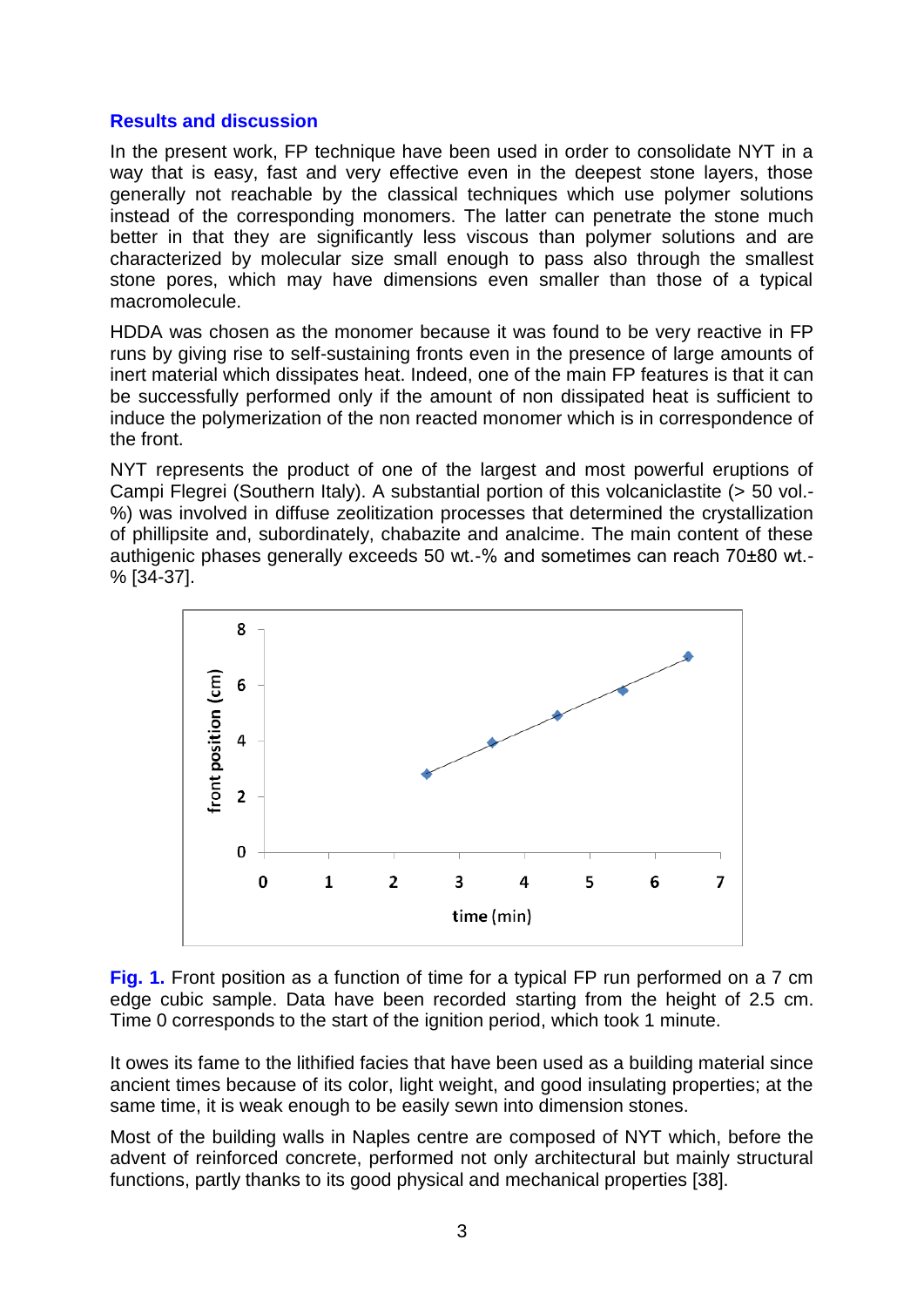#### **Results and discussion**

In the present work, FP technique have been used in order to consolidate NYT in a way that is easy, fast and very effective even in the deepest stone layers, those generally not reachable by the classical techniques which use polymer solutions instead of the corresponding monomers. The latter can penetrate the stone much better in that they are significantly less viscous than polymer solutions and are characterized by molecular size small enough to pass also through the smallest stone pores, which may have dimensions even smaller than those of a typical macromolecule.

HDDA was chosen as the monomer because it was found to be very reactive in FP runs by giving rise to self-sustaining fronts even in the presence of large amounts of inert material which dissipates heat. Indeed, one of the main FP features is that it can be successfully performed only if the amount of non dissipated heat is sufficient to induce the polymerization of the non reacted monomer which is in correspondence of the front.

NYT represents the product of one of the largest and most powerful eruptions of Campi Flegrei (Southern Italy). A substantial portion of this volcaniclastite (> 50 vol.- %) was involved in diffuse zeolitization processes that determined the crystallization of phillipsite and, subordinately, chabazite and analcime. The main content of these authigenic phases generally exceeds 50 wt.-% and sometimes can reach 70±80 wt.- % [34-37].



**Fig. 1.** Front position as a function of time for a typical FP run performed on a 7 cm edge cubic sample. Data have been recorded starting from the height of 2.5 cm. Time 0 corresponds to the start of the ignition period, which took 1 minute.

It owes its fame to the lithified facies that have been used as a building material since ancient times because of its color, light weight, and good insulating properties; at the same time, it is weak enough to be easily sewn into dimension stones.

Most of the building walls in Naples centre are composed of NYT which, before the advent of reinforced concrete, performed not only architectural but mainly structural functions, partly thanks to its good physical and mechanical properties [38].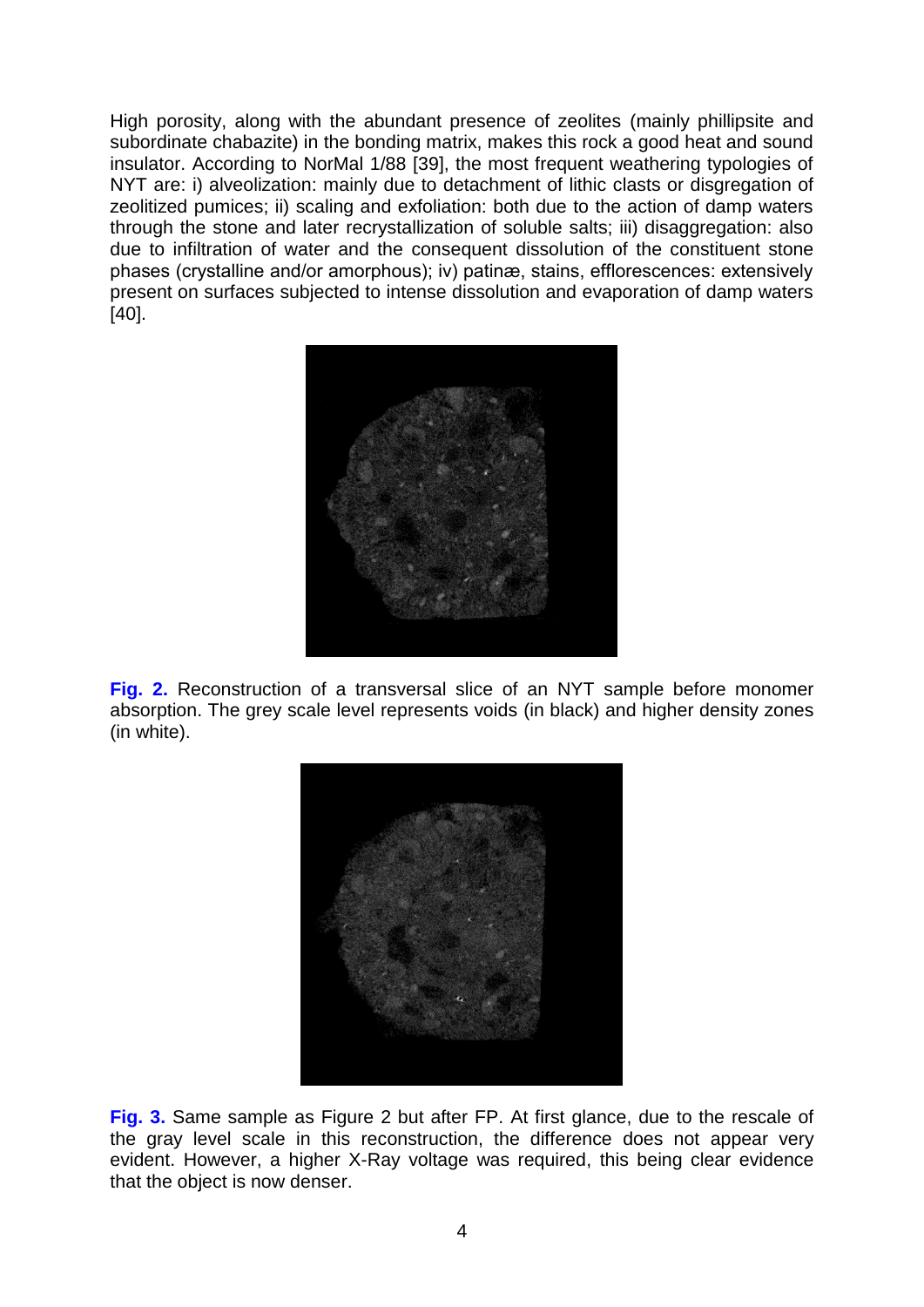High porosity, along with the abundant presence of zeolites (mainly phillipsite and subordinate chabazite) in the bonding matrix, makes this rock a good heat and sound insulator. According to NorMal 1/88 [39], the most frequent weathering typologies of NYT are: i) alveolization: mainly due to detachment of lithic clasts or disgregation of zeolitized pumices; ii) scaling and exfoliation: both due to the action of damp waters through the stone and later recrystallization of soluble salts; iii) disaggregation: also due to infiltration of water and the consequent dissolution of the constituent stone phases (crystalline and/or amorphous); iv) patinæ, stains, efflorescences: extensively present on surfaces subjected to intense dissolution and evaporation of damp waters [40].



**Fig. 2.** Reconstruction of a transversal slice of an NYT sample before monomer absorption. The grey scale level represents voids (in black) and higher density zones (in white).



**Fig. 3.** Same sample as Figure 2 but after FP. At first glance, due to the rescale of the gray level scale in this reconstruction, the difference does not appear very evident. However, a higher X-Ray voltage was required, this being clear evidence that the object is now denser.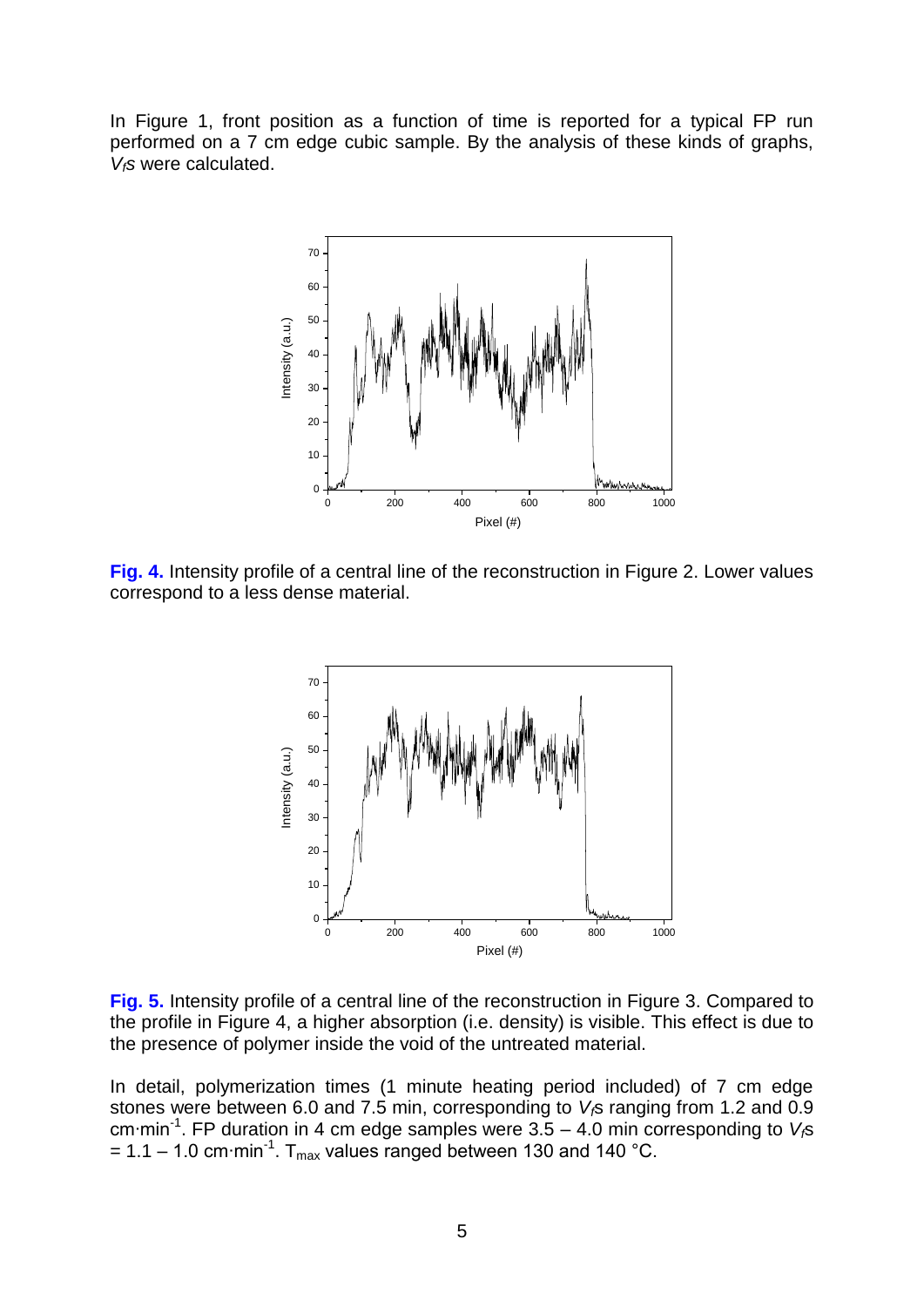In Figure 1, front position as a function of time is reported for a typical FP run performed on a 7 cm edge cubic sample. By the analysis of these kinds of graphs, *Vfs* were calculated.



**Fig. 4.** Intensity profile of a central line of the reconstruction in Figure 2. Lower values correspond to a less dense material.



**Fig. 5.** Intensity profile of a central line of the reconstruction in Figure 3. Compared to the profile in Figure 4, a higher absorption (i.e. density) is visible. This effect is due to the presence of polymer inside the void of the untreated material.

In detail, polymerization times (1 minute heating period included) of 7 cm edge stones were between 6.0 and 7.5 min, corresponding to  $V$ <sub>6</sub> ranging from 1.2 and 0.9 cm·min-1 . FP duration in 4 cm edge samples were 3.5 – 4.0 min corresponding to *Vf*s = 1.1 – 1.0 cm·min<sup>-1</sup>. T<sub>max</sub> values ranged between 130 and 140 °C.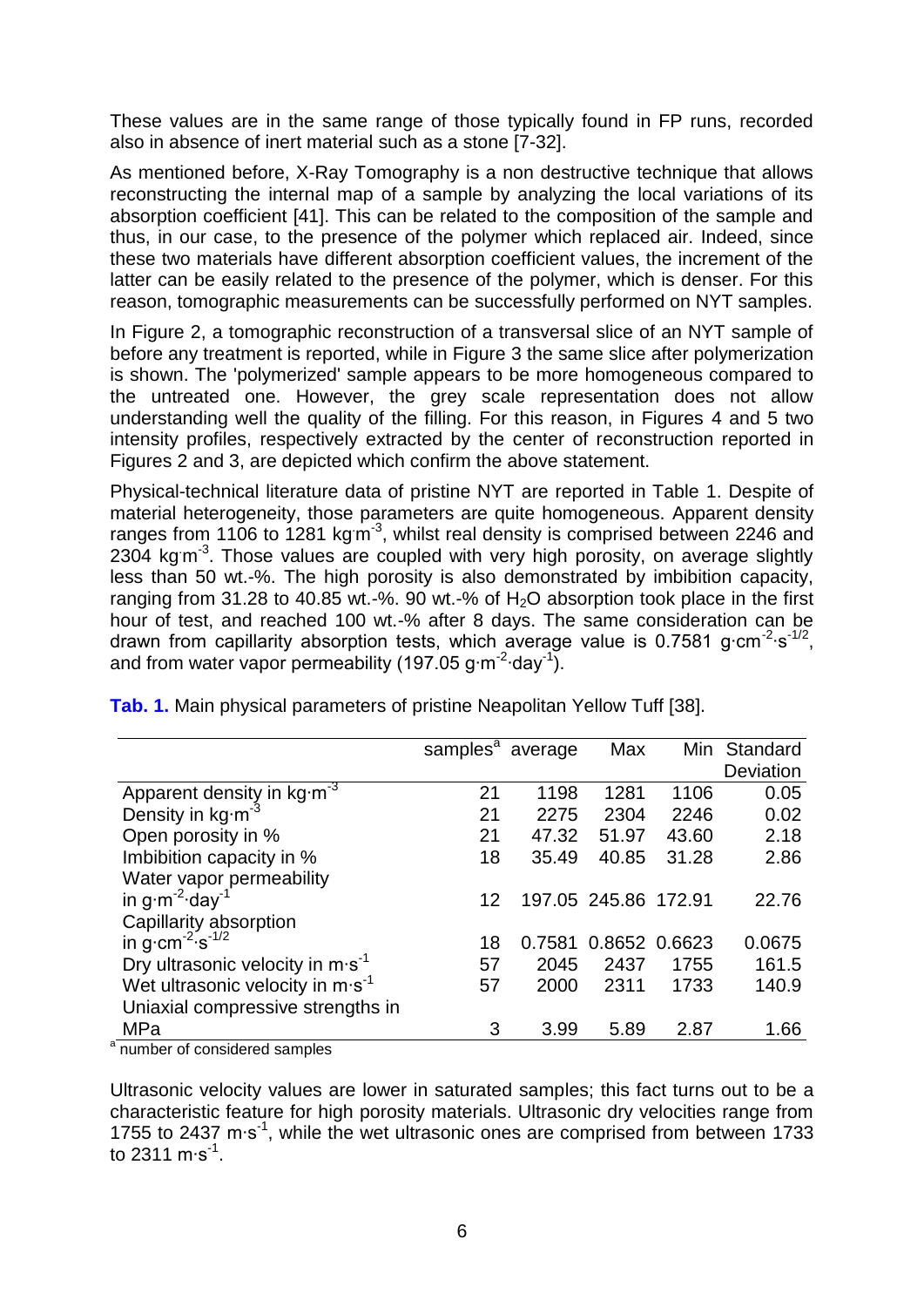These values are in the same range of those typically found in FP runs, recorded also in absence of inert material such as a stone [7-32].

As mentioned before, X-Ray Tomography is a non destructive technique that allows reconstructing the internal map of a sample by analyzing the local variations of its absorption coefficient [41]. This can be related to the composition of the sample and thus, in our case, to the presence of the polymer which replaced air. Indeed, since these two materials have different absorption coefficient values, the increment of the latter can be easily related to the presence of the polymer, which is denser. For this reason, tomographic measurements can be successfully performed on NYT samples.

In Figure 2, a tomographic reconstruction of a transversal slice of an NYT sample of before any treatment is reported, while in Figure 3 the same slice after polymerization is shown. The 'polymerized' sample appears to be more homogeneous compared to the untreated one. However, the grey scale representation does not allow understanding well the quality of the filling. For this reason, in Figures 4 and 5 two intensity profiles, respectively extracted by the center of reconstruction reported in Figures 2 and 3, are depicted which confirm the above statement.

Physical-technical literature data of pristine NYT are reported in Table 1. Despite of material heterogeneity, those parameters are quite homogeneous. Apparent density ranges from 1106 to 1281 kg m<sup>-3</sup>, whilst real density is comprised between 2246 and 2304 kg $\text{m}^3$ . Those values are coupled with very high porosity, on average slightly less than 50 wt.-%. The high porosity is also demonstrated by imbibition capacity, ranging from 31.28 to 40.85 wt.-%. 90 wt.-% of  $H<sub>2</sub>O$  absorption took place in the first hour of test, and reached 100 wt.-% after 8 days. The same consideration can be drawn from capillarity absorption tests, which average value is 0.7581 g·cm<sup>-2</sup>·s<sup>-1/2</sup>, and from water vapor permeability (197.05 g·m<sup>-2</sup>·day<sup>-1</sup>).

|                                                      | samples <sup>a</sup> average |        | Max                  |       | Min Standard |
|------------------------------------------------------|------------------------------|--------|----------------------|-------|--------------|
|                                                      |                              |        |                      |       | Deviation    |
| Apparent density in kg·m <sup>-3</sup>               | 21                           | 1198   | 1281                 | 1106  | 0.05         |
| Density in $kg·m-3$                                  | 21                           | 2275   | 2304                 | 2246  | 0.02         |
| Open porosity in %                                   | 21                           | 47.32  | 51.97                | 43.60 | 2.18         |
| Imbibition capacity in %                             | 18                           | 35.49  | 40.85                | 31.28 | 2.86         |
| Water vapor permeability                             |                              |        |                      |       |              |
| in g $\cdot$ m <sup>2</sup> $\cdot$ day <sup>1</sup> | 12                           |        | 197.05 245.86 172.91 |       | 22.76        |
| Capillarity absorption                               |                              |        |                      |       |              |
| in g cm <sup>-2</sup> s <sup>-1/2</sup>              | 18                           | 0.7581 | 0.8652 0.6623        |       | 0.0675       |
| Dry ultrasonic velocity in $m \cdot s^{-1}$          | 57                           | 2045   | 2437                 | 1755  | 161.5        |
| Wet ultrasonic velocity in $m·s^{-1}$                | 57                           | 2000   | 2311                 | 1733  | 140.9        |
| Uniaxial compressive strengths in                    |                              |        |                      |       |              |
| MPa                                                  | 3                            | 3.99   | 5.89                 | 2.87  | 1.66         |
| aunah araf aspecialareal aspectes                    |                              |        |                      |       |              |

**Tab. 1.** Main physical parameters of pristine Neapolitan Yellow Tuff [38].

a number of considered samples

Ultrasonic velocity values are lower in saturated samples; this fact turns out to be a characteristic feature for high porosity materials. Ultrasonic dry velocities range from 1755 to 2437  $m·s<sup>-1</sup>$ , while the wet ultrasonic ones are comprised from between 1733 to 2311 m $\cdot$ s $^{-1}$ .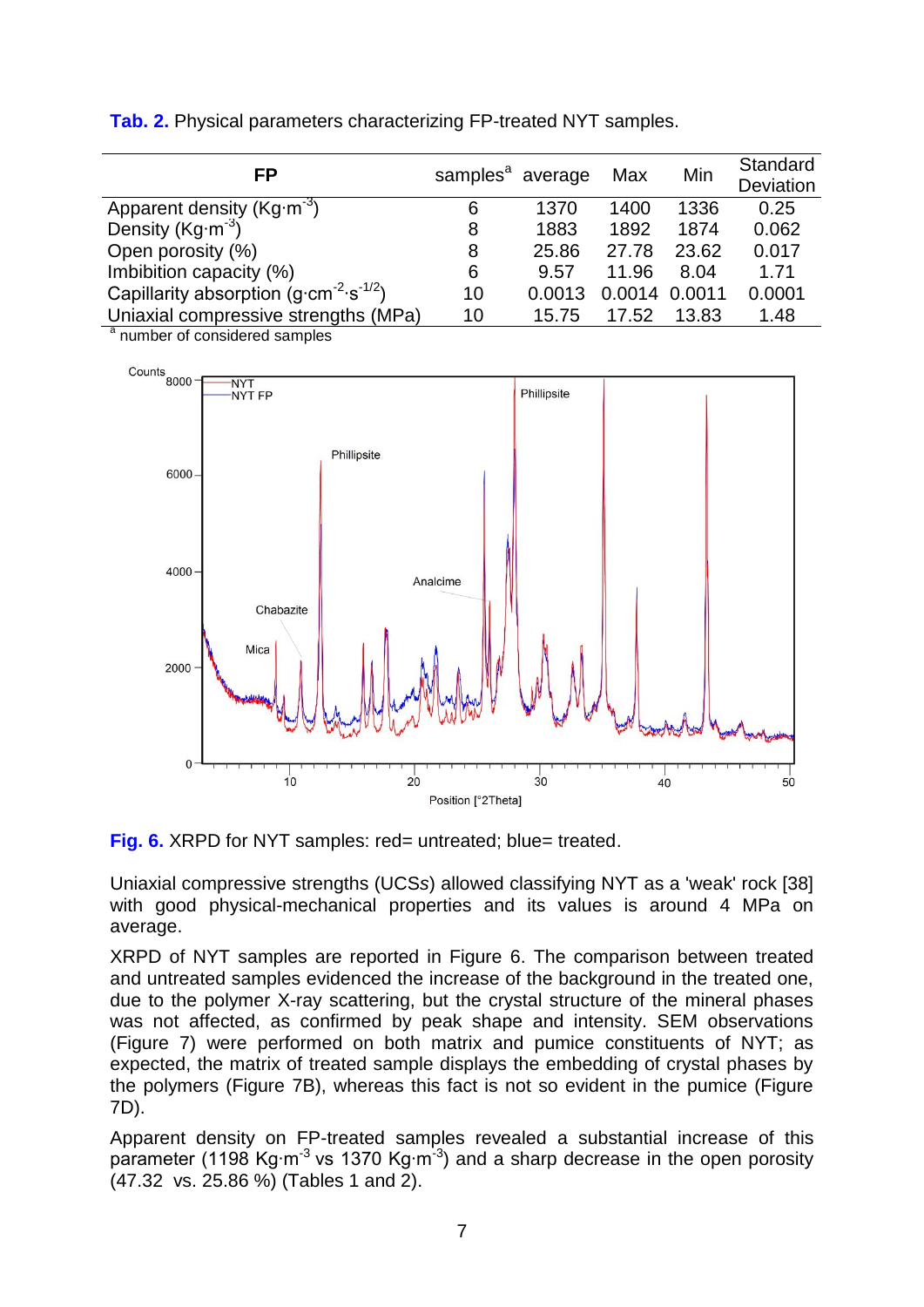|  | Tab. 2. Physical parameters characterizing FP-treated NYT samples. |  |
|--|--------------------------------------------------------------------|--|
|  |                                                                    |  |

|    |        | Max                          | Min   | Standard<br>Deviation |
|----|--------|------------------------------|-------|-----------------------|
| 6  | 1370   | 1400                         | 1336  | 0.25                  |
| 8  | 1883   | 1892                         | 1874  | 0.062                 |
| 8  | 25.86  | 27.78                        | 23.62 | 0.017                 |
| 6  | 9.57   | 11.96                        | 8.04  | 1.71                  |
| 10 | 0.0013 |                              |       | 0.0001                |
| 10 | 15.75  | 17.52                        | 13.83 | 1.48                  |
|    |        | samples <sup>a</sup> average |       | 0.0014<br>0.0011      |

<sup>a</sup> number of considered samples





Uniaxial compressive strengths (UCS*s*) allowed classifying NYT as a 'weak' rock [38] with good physical-mechanical properties and its values is around 4 MPa on average.

XRPD of NYT samples are reported in Figure 6. The comparison between treated and untreated samples evidenced the increase of the background in the treated one, due to the polymer X-ray scattering, but the crystal structure of the mineral phases was not affected, as confirmed by peak shape and intensity. SEM observations (Figure 7) were performed on both matrix and pumice constituents of NYT; as expected, the matrix of treated sample displays the embedding of crystal phases by the polymers (Figure 7B), whereas this fact is not so evident in the pumice (Figure 7D).

Apparent density on FP-treated samples revealed a substantial increase of this parameter (1198 Kg·m<sup>-3</sup> vs 1370 Kg·m<sup>-3</sup>) and a sharp decrease in the open porosity (47.32 vs. 25.86 %) (Tables 1 and 2).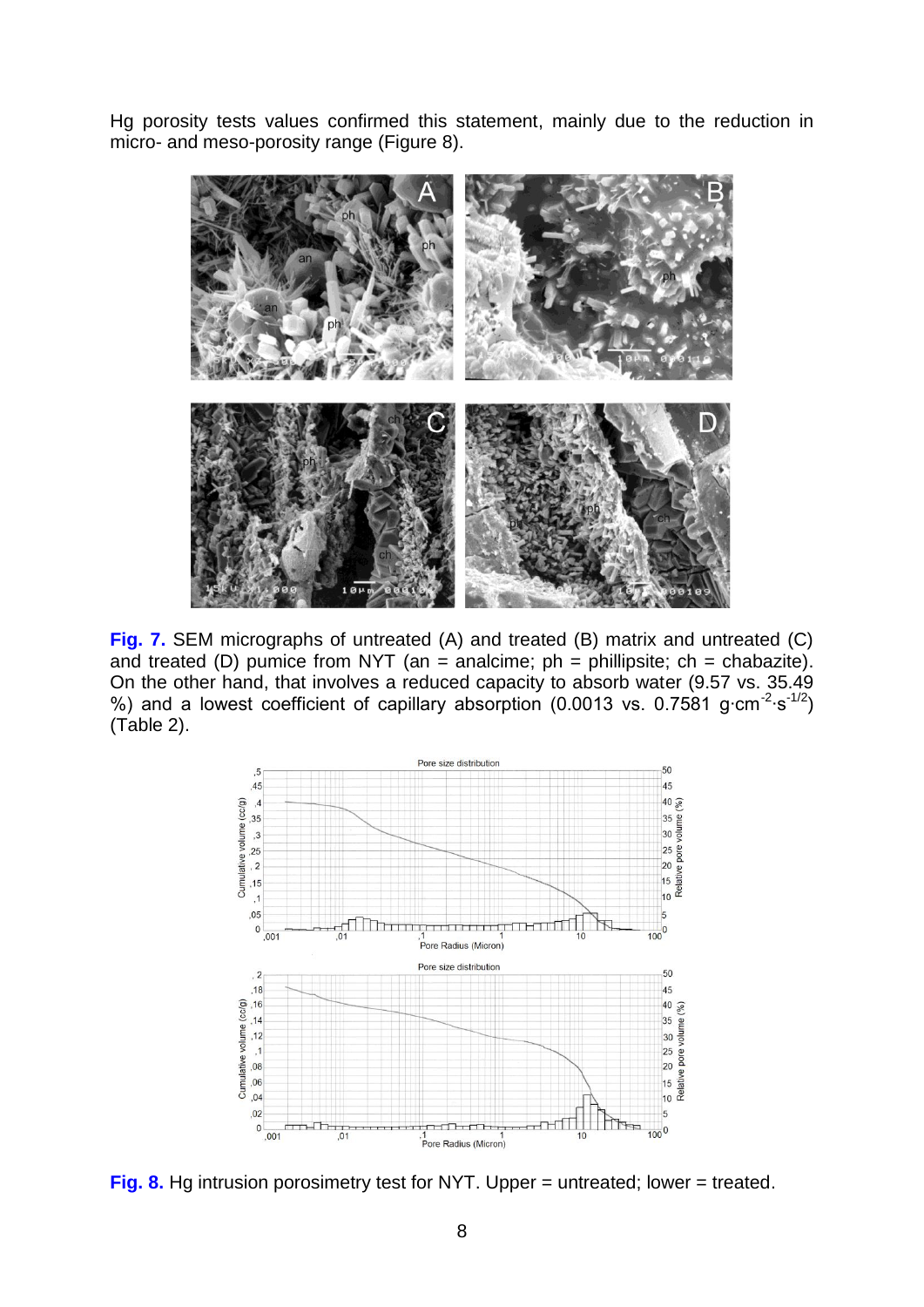Hg porosity tests values confirmed this statement, mainly due to the reduction in micro- and meso-porosity range (Figure 8).



**Fig. 7.** SEM micrographs of untreated (A) and treated (B) matrix and untreated (C) and treated (D) pumice from NYT (an = analcime;  $ph =$  phillipsite;  $ch =$  chabazite). On the other hand, that involves a reduced capacity to absorb water (9.57 vs. 35.49 %) and a lowest coefficient of capillary absorption (0.0013 vs. 0.7581 g·cm<sup>-2</sup>·s<sup>-1/2</sup>) (Table 2).



**Fig. 8.** Hg intrusion porosimetry test for NYT. Upper = untreated; lower = treated.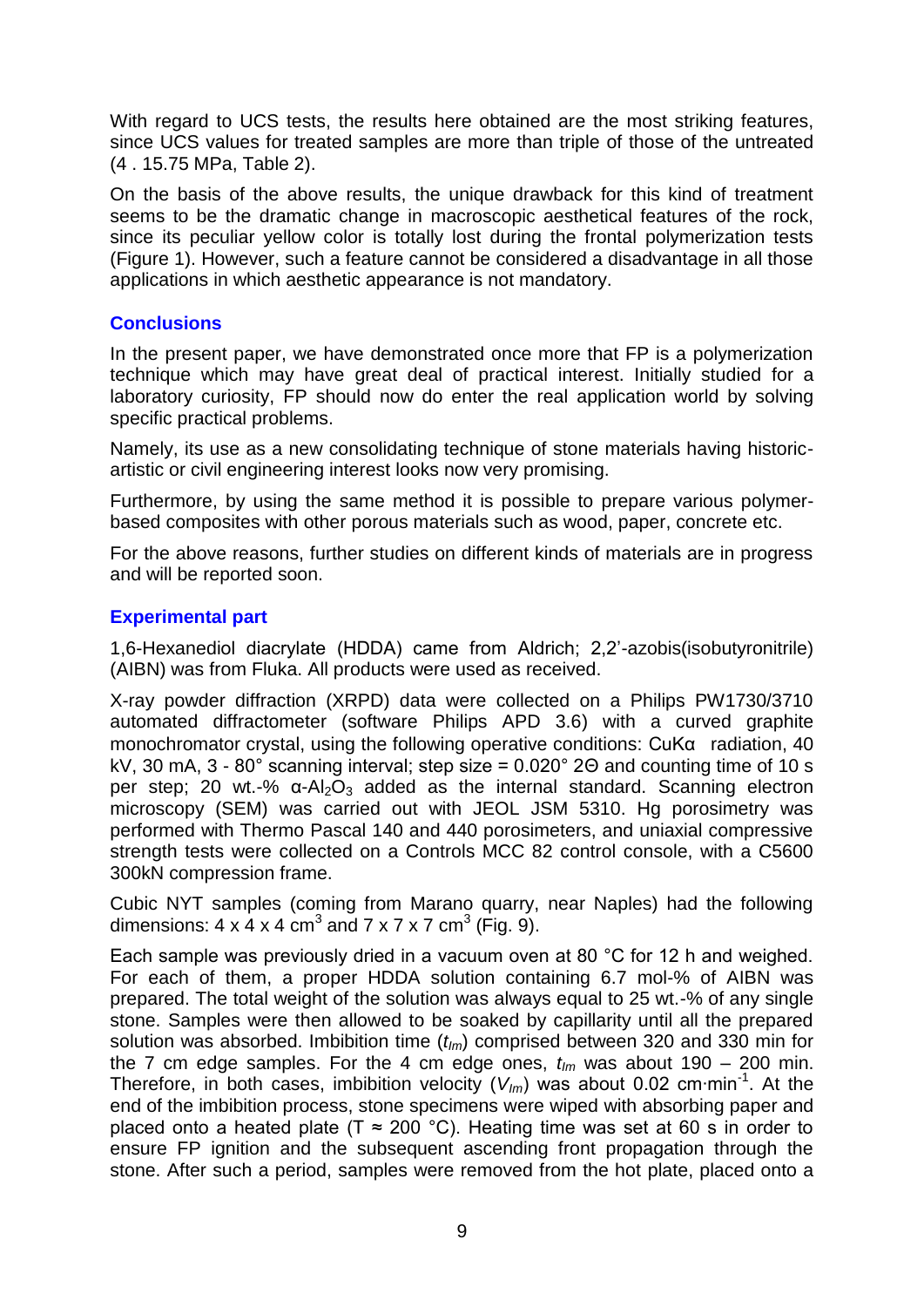With regard to UCS tests, the results here obtained are the most striking features, since UCS values for treated samples are more than triple of those of the untreated (4 . 15.75 MPa, Table 2).

On the basis of the above results, the unique drawback for this kind of treatment seems to be the dramatic change in macroscopic aesthetical features of the rock, since its peculiar yellow color is totally lost during the frontal polymerization tests (Figure 1). However, such a feature cannot be considered a disadvantage in all those applications in which aesthetic appearance is not mandatory.

### **Conclusions**

In the present paper, we have demonstrated once more that FP is a polymerization technique which may have great deal of practical interest. Initially studied for a laboratory curiosity, FP should now do enter the real application world by solving specific practical problems.

Namely, its use as a new consolidating technique of stone materials having historicartistic or civil engineering interest looks now very promising.

Furthermore, by using the same method it is possible to prepare various polymerbased composites with other porous materials such as wood, paper, concrete etc.

For the above reasons, further studies on different kinds of materials are in progress and will be reported soon.

# **Experimental part**

1,6-Hexanediol diacrylate (HDDA) came from Aldrich; 2,2'-azobis(isobutyronitrile) (AIBN) was from Fluka. All products were used as received.

X-ray powder diffraction (XRPD) data were collected on a Philips PW1730/3710 automated diffractometer (software Philips APD 3.6) with a curved graphite monochromator crystal, using the following operative conditions: CuKα radiation, 40 kV, 30 mA, 3 - 80° scanning interval; step size = 0.020° 2Θ and counting time of 10 s per step; 20 wt.-%  $\alpha$ -Al<sub>2</sub>O<sub>3</sub> added as the internal standard. Scanning electron microscopy (SEM) was carried out with JEOL JSM 5310. Hg porosimetry was performed with Thermo Pascal 140 and 440 porosimeters, and uniaxial compressive strength tests were collected on a Controls MCC 82 control console, with a C5600 300kN compression frame.

Cubic NYT samples (coming from Marano quarry, near Naples) had the following dimensions:  $4 \times 4 \times 4$  cm<sup>3</sup> and  $7 \times 7 \times 7$  cm<sup>3</sup> (Fig. 9).

Each sample was previously dried in a vacuum oven at 80 °C for 12 h and weighed. For each of them, a proper HDDA solution containing 6.7 mol-% of AIBN was prepared. The total weight of the solution was always equal to 25 wt.-% of any single stone. Samples were then allowed to be soaked by capillarity until all the prepared solution was absorbed. Imbibition time (*tIm*) comprised between 320 and 330 min for the 7 cm edge samples. For the 4 cm edge ones,  $t_{lm}$  was about 190 – 200 min. Therefore, in both cases, imbibition velocity  $(V_{lm})$  was about 0.02 cm·min<sup>-1</sup>. At the end of the imbibition process, stone specimens were wiped with absorbing paper and placed onto a heated plate (T  $\approx$  200 °C). Heating time was set at 60 s in order to ensure FP ignition and the subsequent ascending front propagation through the stone. After such a period, samples were removed from the hot plate, placed onto a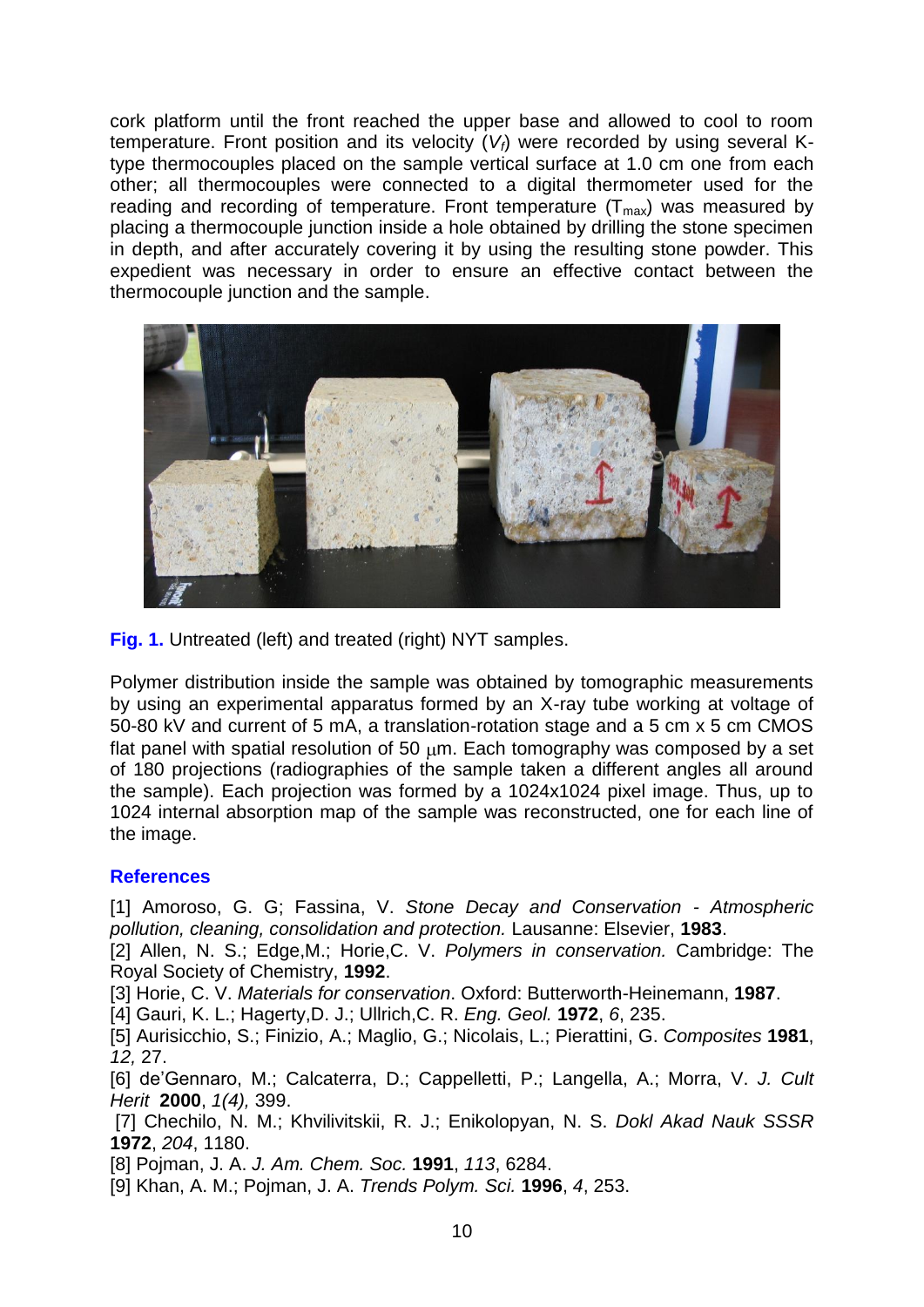cork platform until the front reached the upper base and allowed to cool to room temperature. Front position and its velocity (*Vf*) were recorded by using several Ktype thermocouples placed on the sample vertical surface at 1.0 cm one from each other; all thermocouples were connected to a digital thermometer used for the reading and recording of temperature. Front temperature  $(T_{max})$  was measured by placing a thermocouple junction inside a hole obtained by drilling the stone specimen in depth, and after accurately covering it by using the resulting stone powder. This expedient was necessary in order to ensure an effective contact between the thermocouple junction and the sample.



**Fig. 1.** Untreated (left) and treated (right) NYT samples.

Polymer distribution inside the sample was obtained by tomographic measurements by using an experimental apparatus formed by an X-ray tube working at voltage of 50-80 kV and current of 5 mA, a translation-rotation stage and a 5 cm x 5 cm CMOS flat panel with spatial resolution of 50  $\mu$ m. Each tomography was composed by a set of 180 projections (radiographies of the sample taken a different angles all around the sample). Each projection was formed by a 1024x1024 pixel image. Thus, up to 1024 internal absorption map of the sample was reconstructed, one for each line of the image.

# **References**

[1] Amoroso, G. G; Fassina, V. *Stone Decay and Conservation - Atmospheric pollution, cleaning, consolidation and protection.* Lausanne: Elsevier, **1983**.

[2] Allen, N. S.; Edge,M.; Horie,C. V. *Polymers in conservation.* Cambridge: The Royal Society of Chemistry, **1992**.

[3] Horie, C. V. *Materials for conservation*. Oxford: Butterworth-Heinemann, **1987**.

[4] Gauri, K. L.; Hagerty,D. J.; Ullrich,C. R. *Eng. Geol.* **1972**, *6*, 235.

[5] Aurisicchio, S.; Finizio, A.; Maglio, G.; Nicolais, L.; Pierattini, G. *Composites* **1981**, *12,* 27.

[6] de'Gennaro, M.; Calcaterra, D.; Cappelletti, P.; Langella, A.; Morra, V. *J. Cult Herit* **2000**, *1(4),* 399.

[7] Chechilo, N. M.; Khvilivitskii, R. J.; Enikolopyan, N. S. *Dokl Akad Nauk SSSR* **1972**, *204*, 1180.

[8] Pojman, J. A. *J. Am. Chem. Soc.* **1991**, *113*, 6284.

[9] Khan, A. M.; Pojman, J. A. *Trends Polym. Sci.* **1996**, *4*, 253.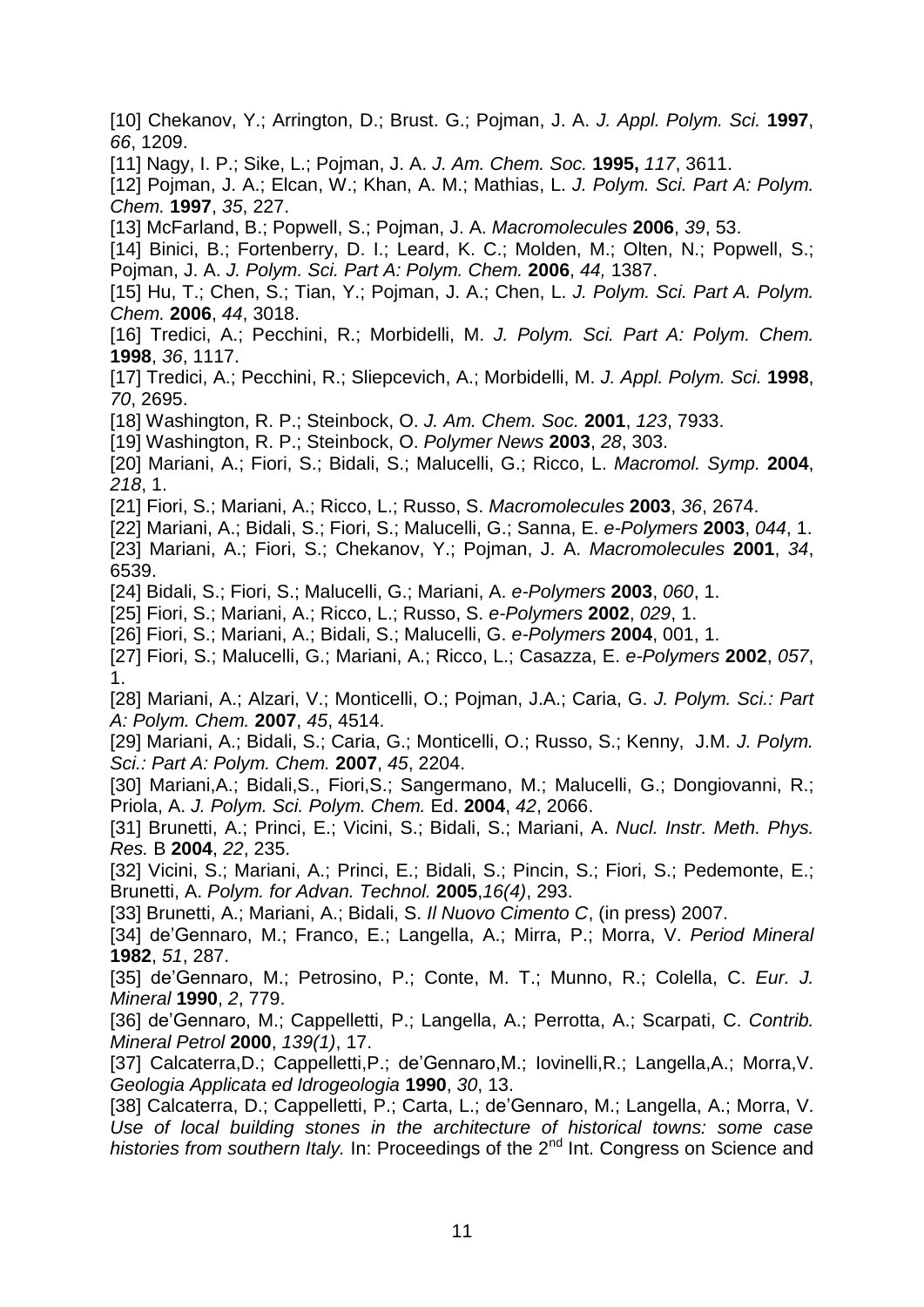[10] Chekanov, Y.; Arrington, D.; Brust. G.; Pojman, J. A. *J. Appl. Polym. Sci.* **1997**, *66*, 1209.

[11] Nagy, I. P.; Sike, L.; Pojman, J. A. *J. Am. Chem. Soc.* **1995,** *117*, 3611.

[12] Pojman, J. A.; Elcan, W.; Khan, A. M.; Mathias, L. *J. Polym. Sci. Part A: Polym. Chem.* **1997**, *35*, 227.

[13] McFarland, B.; Popwell, S.; Pojman, J. A. *Macromolecules* **2006**, *39*, 53.

[14] Binici, B.; Fortenberry, D. I.; Leard, K. C.; Molden, M.; Olten, N.; Popwell, S.; Pojman, J. A. *J. Polym. Sci. Part A: Polym. Chem.* **2006**, *44,* 1387.

[15] Hu, T.; Chen, S.; Tian, Y.; Pojman, J. A.; Chen, L. *J. Polym. Sci. Part A. Polym. Chem.* **2006**, *44*, 3018.

[16] Tredici, A.; Pecchini, R.; Morbidelli, M. *J. Polym. Sci. Part A: Polym. Chem.* **1998**, *36*, 1117.

[17] Tredici, A.; Pecchini, R.; Sliepcevich, A.; Morbidelli, M. *J. Appl. Polym. Sci.* **1998**, *70*, 2695.

[18] Washington, R. P.; Steinbock, O. *J. Am. Chem. Soc.* **2001**, *123*, 7933.

[19] Washington, R. P.; Steinbock, O. *Polymer News* **2003**, *28*, 303.

[20] Mariani, A.; Fiori, S.; Bidali, S.; Malucelli, G.; Ricco, L. *Macromol. Symp.* **2004**, *218*, 1.

[21] Fiori, S.; Mariani, A.; Ricco, L.; Russo, S. *Macromolecules* **2003**, *36*, 2674.

[22] Mariani, A.; Bidali, S.; Fiori, S.; Malucelli, G.; Sanna, E. *e-Polymers* **2003**, *044*, 1.

[23] Mariani, A.; Fiori, S.; Chekanov, Y.; Pojman, J. A. *Macromolecules* **2001**, *34*, 6539.

[24] Bidali, S.; Fiori, S.; Malucelli, G.; Mariani, A. *e-Polymers* **2003**, *060*, 1.

[25] Fiori, S.; Mariani, A.; Ricco, L.; Russo, S. *e-Polymers* **2002**, *029*, 1.

[26] Fiori, S.; Mariani, A.; Bidali, S.; Malucelli, G. *e-Polymers* **2004**, 001, 1.

[27] Fiori, S.; Malucelli, G.; Mariani, A.; Ricco, L.; Casazza, E. *e-Polymers* **2002**, *057*, 1.

[28] Mariani, A.; Alzari, V.; Monticelli, O.; Pojman, J.A.; Caria, G. *J. Polym. Sci.: Part A: Polym. Chem.* **2007**, *45*, 4514.

[29] Mariani, A.; Bidali, S.; Caria, G.; Monticelli, O.; Russo, S.; Kenny, J.M. *J. Polym. Sci.: Part A: Polym. Chem.* **2007**, *45*, 2204.

[30] Mariani,A.; Bidali,S., Fiori,S.; Sangermano, M.; Malucelli, G.; Dongiovanni, R.; Priola, A. *J. Polym. Sci. Polym. Chem.* Ed. **2004**, *42*, 2066.

[31] Brunetti, A.; Princi, E.; Vicini, S.; Bidali, S.; Mariani, A. *Nucl. Instr. Meth. Phys. Res.* B **2004**, *22*, 235.

[32] Vicini, S.; Mariani, A.; Princi, E.; Bidali, S.; Pincin, S.; Fiori, S.; Pedemonte, E.; Brunetti, A. *Polym. for Advan. Technol.* **2005**,*16(4)*, 293.

[33] Brunetti, A.; Mariani, A.; Bidali, S. *Il Nuovo Cimento C*, (in press) 2007.

[34] de'Gennaro, M.; Franco, E.; Langella, A.; Mirra, P.; Morra, V. *Period Mineral*  **1982**, *51*, 287.

[35] de'Gennaro, M.; Petrosino, P.; Conte, M. T.; Munno, R.; Colella, C. *Eur. J. Mineral* **1990**, *2*, 779.

[36] de'Gennaro, M.; Cappelletti, P.; Langella, A.; Perrotta, A.; Scarpati, C. *Contrib. Mineral Petrol* **2000**, *139(1)*, 17.

[37] Calcaterra, D.; Cappelletti, P.; de'Gennaro, M.; Iovinelli, R.; Langella, A.; Morra, V. *Geologia Applicata ed Idrogeologia* **1990**, *30*, 13.

[38] Calcaterra, D.; Cappelletti, P.; Carta, L.; de'Gennaro, M.; Langella, A.; Morra, V. *Use of local building stones in the architecture of historical towns: some case histories from southern Italy.* In: Proceedings of the 2<sup>nd</sup> Int. Congress on Science and